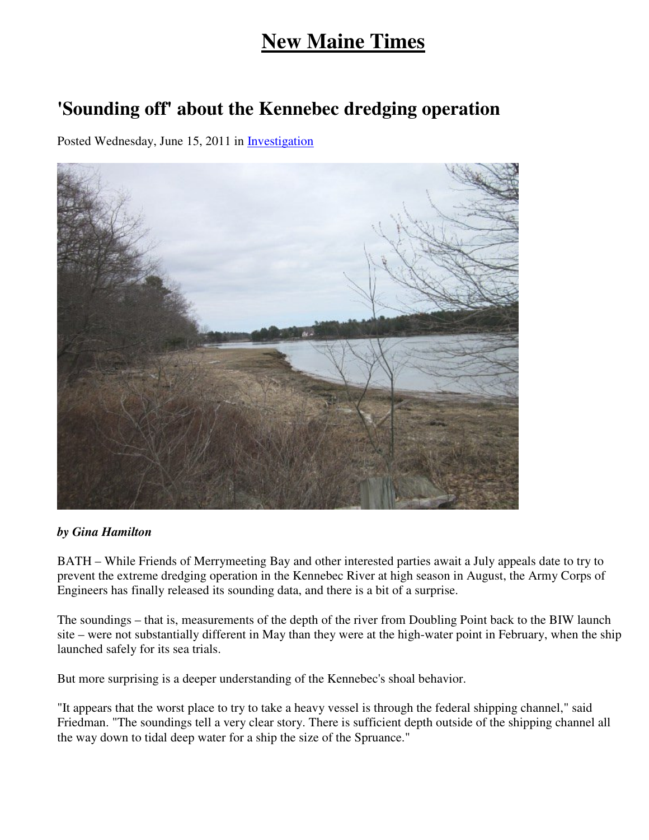## **New Maine Times**

## **'Sounding off' about the Kennebec dredging operation**

Posted Wednesday, June 15, 2011 in Investigation



## *by Gina Hamilton*

BATH – While Friends of Merrymeeting Bay and other interested parties await a July appeals date to try to prevent the extreme dredging operation in the Kennebec River at high season in August, the Army Corps of Engineers has finally released its sounding data, and there is a bit of a surprise.

The soundings – that is, measurements of the depth of the river from Doubling Point back to the BIW launch site – were not substantially different in May than they were at the high-water point in February, when the ship launched safely for its sea trials.

But more surprising is a deeper understanding of the Kennebec's shoal behavior.

"It appears that the worst place to try to take a heavy vessel is through the federal shipping channel," said Friedman. "The soundings tell a very clear story. There is sufficient depth outside of the shipping channel all the way down to tidal deep water for a ship the size of the Spruance."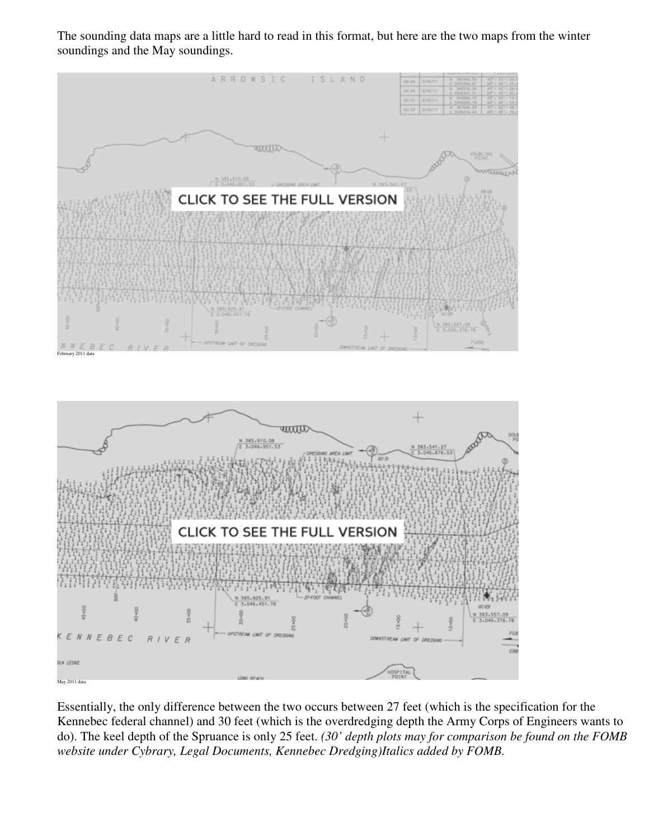The sounding data maps are a little hard to read in this format, but here are the two maps from the winter soundings and the May soundings.



Essentially, the only difference between the two occurs between 27 feet (which is the specification for the Kennebec federal channel) and 30 feet (which is the overdredging depth the Army Corps of Engineers wants to do). The keel depth of the Spruance is only 25 feet. *(30' depth plots may for comparison be found on the FOMB website under Cybrary, Legal Documents, Kennebec Dredging)Italics added by FOMB.*